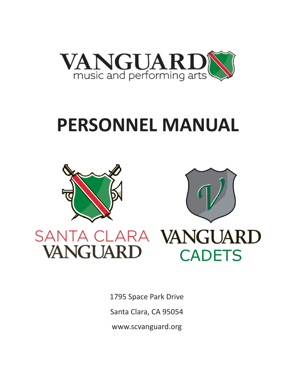

# **PERSONNEL MANUAL**





**CADETS** 

# VANGUARD SANTA CLARA VANGUARD

1795 Space Park Drive Santa Clara, CA 95054 [www.scvanguard.org](http://www.scvanguard.org/)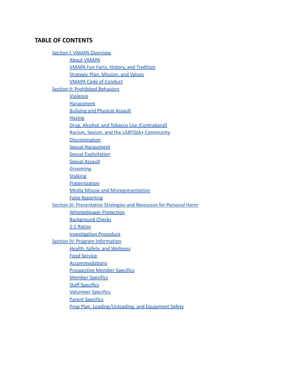# **TABLE OF CONTENTS**

**Section I: VMAPA [Overview](#page-2-0)** About [VMAPA](#page-2-1) VMAPA Fun Facts, History, and [Tradition](#page-3-0) Strategic Plan, Mission, and Values VMAPA Code of [Conduct](#page-4-0) Section II: [Prohibited](#page-5-0) Behaviors [Violence](#page-6-0) **[Harassment](#page-6-1)** Bullying and [Physical](#page-6-2) Assault **[Hazing](#page-6-3)** Drug, Alcohol, and Tobacco Use (Contraband) Racism, Sexism, and the LGBTQIA+ [Community](#page-7-0) **[Discrimination](#page-7-1)** Sexual [Harassment](#page-7-2) Sexual [Exploitation](#page-7-3) Sexual [Assault](#page-8-0) **[Grooming](#page-8-1) [Stalking](#page-8-2) [Fraternization](#page-8-3)** Media Misuse and Misrepresentation False [Reporting](#page-9-0) Section III: Preventative Strategies and Resources for Personal Harm [Whistleblower](#page-11-0) Protection [Background](#page-11-1) Checks 2:1 [Ratios](#page-12-0) Investigation Procedure Section IV: Program [Information](#page-13-0) Health, Safety, and [Wellness](#page-13-1) Food [Service](#page-13-2) [Accommodations](#page-14-0) [Prospective](#page-16-0) Member Specifics [Member](#page-17-0) Specifics **Staff [Specifics](#page-18-0)** Volunteer Specifics **Parent Specifics** 

Prop Plan, [Loading/Unloading,](#page-19-0) and Equipment Safety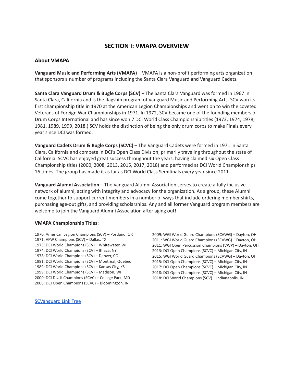# **SECTION I: VMAPA OVERVIEW**

#### <span id="page-2-1"></span><span id="page-2-0"></span>**About VMAPA**

**Vanguard Music and Performing Arts (VMAPA)** – VMAPA is a non-profit performing arts organization that sponsors a number of programs including the Santa Clara Vanguard and Vanguard Cadets.

**Santa Clara Vanguard Drum & Bugle Corps (SCV)** – The Santa Clara Vanguard was formed in 1967 in Santa Clara, California and is the flagship program of Vanguard Music and Performing Arts. SCV won its first championship title in 1970 at the American Legion Championships and went on to win the coveted Veterans of Foreign War Championships in 1971. In 1972, SCV became one of the founding members of Drum Corps International and has since won 7 DCI World Class Championship titles (1973, 1974, 1978, 1981, 1989, 1999, 2018.) SCV holds the distinction of being the only drum corps to make Finals every year since DCI was formed.

**Vanguard Cadets Drum & Bugle Corps (SCVC)** – The Vanguard Cadets were formed in 1971 in Santa Clara, California and compete in DCI's Open Class Division, primarily traveling throughout the state of California. SCVC has enjoyed great success throughout the years, having claimed six Open Class Championship titles (2000, 2008, 2013, 2015, 2017, 2018) and performed at DCI World Championships 16 times. The group has made it as far as DCI World Class Semifinals every year since 2011.

**Vanguard Alumni Association** – The Vanguard Alumni Association serves to create a fully inclusive network of alumni, acting with integrity and advocacy for the organization. As a group, these Alumni come together to support current members in a number of ways that include ordering member shirts, purchasing age-out gifts, and providing scholarships. Any and all former Vanguard program members are welcome to join the Vanguard Alumni Association after aging out!

#### **VMAPA Championship Titles**:

1970: American Legion Champions (SCV) – Portland, OR 1971: VFW Champions (SCV) – Dallas, TX 1973: DCI World Champions (SCV) – Whitewater, WI 1974: DCI World Champions (SCV) – Ithaca, NY 1978: DCI World Champions (SCV) – Denver, CO 1981: DCI World Champions (SCV) – Montreal, Quebec 1989: DCI World Champions (SCV) – Kansas City, KS 1999: DCI World Champions (SCV) – Madison, WI 2000: DCI Div. II Champions (SCVC) – College Park, MD 2008: DCI Open Champions (SCVC) – Bloomington, IN

2009: WGI World Guard Champions (SCVWG) – Dayton, OH 2011: WGI World Guard Champions (SCVWG) – Dayton, OH 2011: WGI Open Percussion Champions (VWP) – Dayton, OH 2013: DCI Open Champions (SCVC) – Michigan City, IN 2015: WGI World Guard Champions (SCVWG) – Dayton, OH 2015: DCI Open Champions (SCVC) – Michigan City, IN 2017: DCI Open Champions (SCVC) – Michigan City, IN 2018: DCI Open Champions (SCVC) – Michigan City, IN 2018: DCI World Champions (SCV) – Indianapolis, IN

[SCVanguard](https://linktr.ee/SCVanguard) Link Tree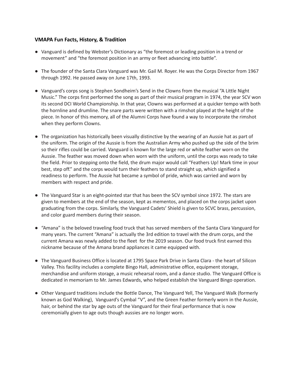# <span id="page-3-0"></span>**VMAPA Fun Facts, History, & Tradition**

- Vanguard is defined by Webster's Dictionary as "the foremost or leading position in a trend or movement" and "the foremost position in an army or fleet advancing into battle".
- The founder of the Santa Clara Vanguard was Mr. Gail M. Royer. He was the Corps Director from 1967 through 1992. He passed away on June 17th, 1993.
- Vanguard's corps song is Stephen Sondheim's Send in the Clowns from the musical "A Little Night Music." The corps first performed the song as part of their musical program in 1974, the year SCV won its second DCI World Championship. In that year, Clowns was performed at a quicker tempo with both the hornline and drumline. The snare parts were written with a rimshot played at the height of the piece. In honor of this memory, all of the Alumni Corps have found a way to incorporate the rimshot when they perform Clowns.
- The organization has historically been visually distinctive by the wearing of an Aussie hat as part of the uniform. The origin of the Aussie is from the Australian Army who pushed up the side of the brim so their rifles could be carried. Vanguard is known for the large red or white feather worn on the Aussie. The feather was moved down when worn with the uniform, until the corps was ready to take the field. Prior to stepping onto the field, the drum major would call "Feathers Up! Mark time in your best, step off." and the corps would turn their feathers to stand straight up, which signified a readiness to perform. The Aussie hat became a symbol of pride, which was carried and worn by members with respect and pride.
- The Vanguard Star is an eight-pointed star that has been the SCV symbol since 1972. The stars are given to members at the end of the season, kept as mementos, and placed on the corps jacket upon graduating from the corps. Similarly, the Vanguard Cadets' Shield is given to SCVC brass, percussion, and color guard members during their season.
- "Amana" is the beloved traveling food truck that has served members of the Santa Clara Vanguard for many years. The current "Amana" is actually the 3rd edition to travel with the drum corps, and the current Amana was newly added to the fleet for the 2019 season. Our food truck first earned this nickname because of the Amana brand appliances it came equipped with.
- The Vanguard Business Office is located at 1795 Space Park Drive in Santa Clara the heart of Silicon Valley. This facility includes a complete Bingo Hall, administrative office, equipment storage, merchandise and uniform storage, a music rehearsal room, and a dance studio. The Vanguard Office is dedicated in memoriam to Mr. James Edwards, who helped establish the Vanguard Bingo operation.
- Other Vanguard traditions include the Bottle Dance, The Vanguard Yell, The Vanguard Walk (formerly known as God Walking), Vanguard's Cymbal "V", and the Green Feather formerly worn in the Aussie, hair, or behind the star by age outs of the Vanguard for their final performance that is now ceremonially given to age outs though aussies are no longer worn.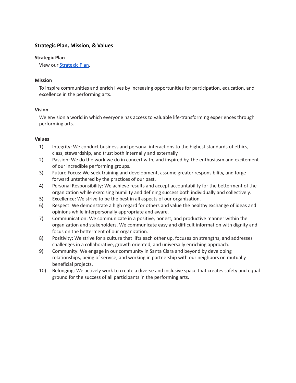# **Strategic Plan, Mission, & Values**

#### **Strategic Plan**

View our [Strategic](https://indd.adobe.com/view/d27131fd-6e7a-40a1-bae8-be460b1c651b) Plan.

#### **Mission**

To inspire communities and enrich lives by increasing opportunities for participation, education, and excellence in the performing arts.

#### **Vision**

We envision a world in which everyone has access to valuable life-transforming experiences through performing arts.

#### **Values**

- 1) Integrity: We conduct business and personal interactions to the highest standards of ethics, class, stewardship, and trust both internally and externally.
- 2) Passion: We do the work we do in concert with, and inspired by, the enthusiasm and excitement of our incredible performing groups.
- 3) Future Focus: We seek training and development, assume greater responsibility, and forge forward untethered by the practices of our past.
- 4) Personal Responsibility: We achieve results and accept accountability for the betterment of the organization while exercising humility and defining success both individually and collectively.
- 5) Excellence: We strive to be the best in all aspects of our organization.
- 6) Respect: We demonstrate a high regard for others and value the healthy exchange of ideas and opinions while interpersonally appropriate and aware.
- 7) Communication: We communicate in a positive, honest, and productive manner within the organization and stakeholders. We communicate easy and difficult information with dignity and focus on the betterment of our organization.
- 8) Positivity: We strive for a culture that lifts each other up, focuses on strengths, and addresses challenges in a collaborative, growth oriented, and universally enriching approach.
- 9) Community: We engage in our community in Santa Clara and beyond by developing relationships, being of service, and working in partnership with our neighbors on mutually beneficial projects.
- <span id="page-4-0"></span>10) Belonging: We actively work to create a diverse and inclusive space that creates safety and equal ground for the success of all participants in the performing arts.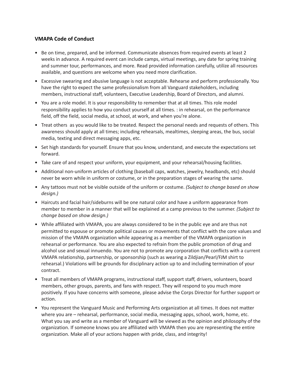# **VMAPA Code of Conduct**

- Be on time, prepared, and be informed. Communicate absences from required events at least 2 weeks in advance. A required event can include camps, virtual meetings, any date for spring training and summer tour, performances, and more. Read provided information carefully, utilize all resources available, and questions are welcome when you need more clarification.
- Excessive swearing and abusive language is not acceptable. Rehearse and perform professionally. You have the right to expect the same professionalism from all Vanguard stakeholders, including members, instructional staff, volunteers, Executive Leadership, Board of Directors, and alumni.
- You are a role model. It is your responsibility to remember that at all times. This role model responsibility applies to how you conduct yourself at all times. : in rehearsal, on the performance field, off the field, social media, at school, at work, and when you're alone.
- Treat others as you would like to be treated. Respect the personal needs and requests of others. This awareness should apply at all times; including rehearsals, mealtimes, sleeping areas, the bus, social media, texting and direct messaging apps, etc.
- Set high standards for yourself. Ensure that you know, understand, and execute the expectations set forward.
- Take care of and respect your uniform, your equipment, and your rehearsal/housing facilities.
- Additional non-uniform articles of clothing (baseball caps, watches, jewelry, headbands, etc) should never be worn while in uniform or costume, or in the preparation stages of wearing the same.
- *•* Any tattoos must not be visible outside of the uniform or costume. *(Subject to change based on show design.)*
- *•* Haircuts and facial hair/sideburns will be one natural color and have a uniform appearance from member to member in a manner that will be explained at a camp previous to the summer. *(Subject to change based on show design.)*
- While affiliated with VMAPA, you are always considered to be in the public eye and are thus not permitted to espouse or promote political causes or movements that conflict with the core values and mission of the VMAPA organization while appearing as a member of the VMAPA organization in rehearsal or performance. You are also expected to refrain from the public promotion of drug and alcohol use and sexual innuendo. You are not to promote any corporation that conflicts with a current VMAPA relationship, partnership, or sponsorship (such as wearing a Zildjian/Pearl/FJM shirt to rehearsal.) Violations will be grounds for disciplinary action up to and including termination of your contract.
- Treat all members of VMAPA programs, instructional staff, support staff, drivers, volunteers, board members, other groups, parents, and fans with respect. They will respond to you much more positively. If you have concerns with someone, please advise the Corps Director for further support or action.
- <span id="page-5-0"></span>• You represent the Vanguard Music and Performing Arts organization at all times. It does not matter where you are – rehearsal, performance, social media, messaging apps, school, work, home, etc. What you say and write as a member of Vanguard will be viewed as the opinion and philosophy of the organization. If someone knows you are affiliated with VMAPA then you are representing the entire organization. Make all of your actions happen with pride, class, and integrity!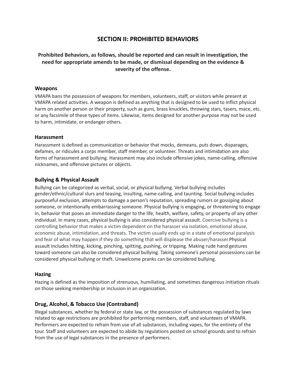# **SECTION II: PROHIBITED BEHAVIORS**

# **Prohibited Behaviors, as follows, should be reported and can result in investigation, the need for appropriate amends to be made, or dismissal depending on the evidence & severity of the offense.**

#### <span id="page-6-0"></span>**Weapons**

VMAPA bans the possession of weapons for members, volunteers, staff, or visitors while present at VMAPA related activities. A weapon is defined as anything that is designed to be used to inflict physical harm on another person or their property, such as guns, brass knuckles, throwing stars, tasers, mace, etc. or any facsimile of these types of items. Likewise, items designed for another purpose may not be used to harm, intimidate, or endanger others.

#### <span id="page-6-1"></span>**Harassment**

Harassment is defined as communication or behavior that mocks, demeans, puts down, disparages, defames, or ridicules a corps member, staff member, or volunteer. Threats and intimidation are also forms of harassment and bullying. Harassment may also include offensive jokes, name-calling, offensive nicknames, and offensive pictures or objects.

# <span id="page-6-2"></span>**Bullying & Physical Assault**

Bullying can be categorized as verbal, social, or physical bullying. Verbal bullying includes gender/ethnic/cultural slurs and teasing, insulting, name-calling, and taunting. Social bullying includes purposeful exclusion, attempts to damage a person's reputation, spreading rumors or gossiping about someone, or intentionally embarrassing someone. Physical bullying is engaging, or threatening to engage in, behavior that poses an immediate danger to the life, health, welfare, safety, or property of any other individual. In many cases, physical bullying is also considered physical assault. Coercive bullying is a controlling behavior that makes a victim dependent on the harasser via isolation, emotional abuse, economic abuse, intimidation, and threats. The victim usually ends up in a state of emotional paralysis and fear of what may happen if they do something that will displease the abuser/harasser.Physical assault includes hitting, kicking, pinching, spitting, pushing, or tripping. Making rude hand gestures toward someone can also be considered physical bullying. Taking someone's personal possessions can be considered physical bullying or theft. Unwelcome pranks can be considered bullying.

#### <span id="page-6-3"></span>**Hazing**

Hazing is defined as the imposition of strenuous, humiliating, and sometimes dangerous initiation rituals on those seeking membership or inclusion in an organization.

# **Drug, Alcohol, & Tobacco Use (Contraband)**

Illegal substances, whether by federal or state law, or the possession of substances regulated by laws related to age restrictions are prohibited for performing members, staff, and volunteers of VMAPA. Performers are expected to refrain from use of all substances, including vapes, for the entirety of the tour. Staff and volunteers are expected to abide by regulations posted on school grounds and to refrain from the use of legal substances in the presence of performers.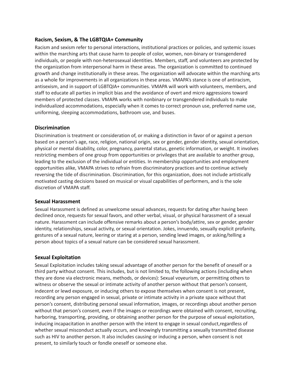# <span id="page-7-0"></span>**Racism, Sexism, & The LGBTQIA+ Community**

Racism and sexism refer to personal interactions, institutional practices or policies, and systemic issues within the marching arts that cause harm to people of color, women, non-binary or transgendered individuals, or people with non-heterosexual identities. Members, staff, and volunteers are protected by the organization from interpersonal harm in these areas. The organization is committed to continued growth and change institutionally in these areas. The organization will advocate within the marching arts as a whole for improvements in all organizations in these areas. VMAPA's stance is one of antiracism, antisexism, and in support of LGBTQIA+ communities. VMAPA will work with volunteers, members, and staff to educate all parties in implicit bias and the avoidance of overt and micro aggressions toward members of protected classes. VMAPA works with nonbinary or transgendered individuals to make individualized accommodations, especially when it comes to correct pronoun use, preferred name use, uniforming, sleeping accommodations, bathroom use, and buses.

#### <span id="page-7-1"></span>**Discrimination**

Discrimination is treatment or consideration of, or making a distinction in favor of or against a person based on a person's age, race, religion, national origin, sex or gender, gender identity, sexual orientation, physical or mental disability, color, pregnancy, parental status, genetic information, or weight. It involves restricting members of one group from opportunities or privileges that are available to another group, leading to the exclusion of the individual or entities. In membership opportunities and employment opportunities alike, VMAPA strives to refrain from discriminatory practices and to continue actively reversing the tide of discrimination. Discrimination, for this organization, does not include artistically motivated casting decisions based on musical or visual capabilities of performers, and is the sole discretion of VMAPA staff.

#### <span id="page-7-2"></span>**Sexual Harassment**

Sexual Harassment is defined as unwelcome sexual advances, requests for dating after having been declined once, requests for sexual favors, and other verbal, visual, or physical harassment of a sexual nature. Harassment can include offensive remarks about a person's body/attire, sex or gender, gender identity, relationships, sexual activity, or sexual orientation. Jokes, innuendo, sexually explicit profanity, gestures of a sexual nature, leering or staring at a person, sending lewd images, or asking/telling a person about topics of a sexual nature can be considered sexual harassment.

#### <span id="page-7-3"></span>**Sexual Exploitation**

Sexual Exploitation includes taking sexual advantage of another person for the benefit of oneself or a third party without consent. This includes, but is not limited to, the following actions (including when they are done via electronic means, methods, or devices): Sexual voyeurism, or permitting others to witness or observe the sexual or intimate activity of another person without that person's consent, indecent or lewd exposure, or inducing others to expose themselves when consent is not present, recording any person engaged in sexual, private or intimate activity in a private space without that person's consent, distributing personal sexual information, images, or recordings about another person without that person's consent, even if the images or recordings were obtained with consent, recruiting, harboring, transporting, providing, or obtaining another person for the purpose of sexual exploitation, inducing incapacitation in another person with the intent to engage in sexual conduct,regardless of whether sexual misconduct actually occurs, and knowingly transmitting a sexually transmitted disease such as HIV to another person. It also includes causing or inducing a person, when consent is not present, to similarly touch or fondle oneself or someone else.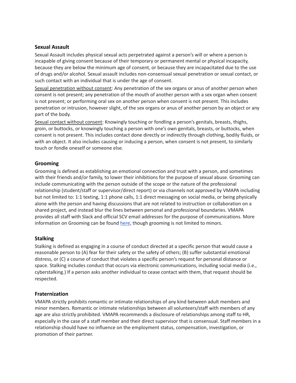# <span id="page-8-0"></span>**Sexual Assault**

Sexual Assault includes physical sexual acts perpetrated against a person's will or where a person is incapable of giving consent because of their temporary or permanent mental or physical incapacity, because they are below the minimum age of consent, or because they are incapacitated due to the use of drugs and/or alcohol. Sexual assault includes non-consensual sexual penetration or sexual contact, or such contact with an individual that is under the age of consent.

Sexual penetration without consent: Any penetration of the sex organs or anus of another person when consent is not present; any penetration of the mouth of another person with a sex organ when consent is not present; or performing oral sex on another person when consent is not present. This includes penetration or intrusion, however slight, of the sex organs or anus of another person by an object or any part of the body.

Sexual contact without consent: Knowingly touching or fondling a person's genitals, breasts, thighs, groin, or buttocks, or knowingly touching a person with one's own genitals, breasts, or buttocks, when consent is not present. This includes contact done directly or indirectly through clothing, bodily fluids, or with an object. It also includes causing or inducing a person, when consent is not present, to similarly touch or fondle oneself or someone else.

# <span id="page-8-1"></span>**Grooming**

Grooming is defined as establishing an emotional connection and trust with a person, and sometimes with their friends and/or family, to lower their inhibitions for the purpose of sexual abuse. Grooming can include communicating with the person outside of the scope or the nature of the professional relationship (student/staff or supervisor/direct report) or via channels not approved by VMAPA including but not limited to: 1:1 texting, 1:1 phone calls, 1:1 direct messaging on social media, or being physically alone with the person and having discussions that are not related to instruction or collaboration on a shared project, and instead blur the lines between personal and professional boundaries. VMAPA provides all staff with Slack and official SCV email addresses for the purpose of communications. More information on Grooming can be found [here](https://www.psychologytoday.com/us/blog/protecting-children-sexual-abuse/202010/how-recognize-the-sexual-grooming-minor), though grooming is not limited to minors.

# <span id="page-8-2"></span>**Stalking**

Stalking is defined as engaging in a course of conduct directed at a specific person that would cause a reasonable person to (A) fear for their safety or the safety of others; (B) suffer substantial emotional distress, or (C) a course of conduct that violates a specific person's request for personal distance or space. Stalking includes conduct that occurs via electronic communications, including social media (i.e., cyberstalking.) If a person asks another individual to cease contact with them, that request should be respected.

# <span id="page-8-3"></span>**Fraternization**

VMAPA strictly prohibits romantic or intimate relationships of any kind between adult members and minor members. Romantic or intimate relationships between all volunteers/staff with members of any age are also strictly prohibited. VMAPA recommends a disclosure of relationships among staff to HR, especially in the case of a staff member and their direct supervisor that is consensual. Staff members in a relationship should have no influence on the employment status, compensation, investigation, or promotion of their partner.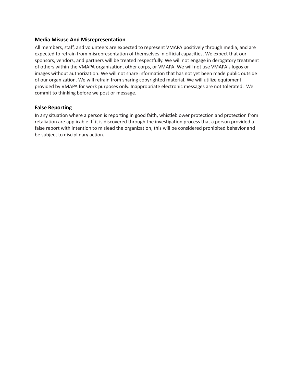#### **Media Misuse And Misrepresentation**

All members, staff, and volunteers are expected to represent VMAPA positively through media, and are expected to refrain from misrepresentation of themselves in official capacities. We expect that our sponsors, vendors, and partners will be treated respectfully. We will not engage in derogatory treatment of others within the VMAPA organization, other corps, or VMAPA. We will not use VMAPA's logos or images without authorization. We will not share information that has not yet been made public outside of our organization. We will refrain from sharing copyrighted material. We will utilize equipment provided by VMAPA for work purposes only. Inappropriate electronic messages are not tolerated. We commit to thinking before we post or message.

# <span id="page-9-0"></span>**False Reporting**

In any situation where a person is reporting in good faith, whistleblower protection and protection from retaliation are applicable. If it is discovered through the investigation process that a person provided a false report with intention to mislead the organization, this will be considered prohibited behavior and be subject to disciplinary action.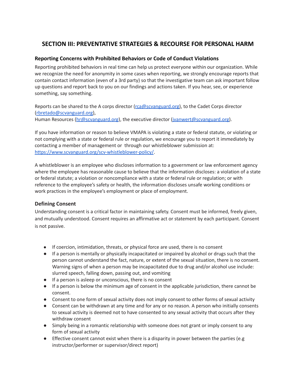# **SECTION III: PREVENTATIVE STRATEGIES & RECOURSE FOR PERSONAL HARM**

# **Reporting Concerns with Prohibited Behaviors or Code of Conduct Violations**

Reporting prohibited behaviors in real time can help us protect everyone within our organization. While we recognize the need for anonymity in some cases when reporting, we strongly encourage reports that contain contact information (even of a 3rd party) so that the investigative team can ask important follow up questions and report back to you on our findings and actions taken. If you hear, see, or experience something, say something.

Reports can be shared to the A corps director ([rca@scvanguard.org\)](mailto:rca@scvanguard.org), to the Cadet Corps director [\(rbretado@scvanguard.org](mailto:rbretado@scvanguard.org)), Human Resources ([hr@scvanguard.org](mailto:hr@scvanguard.org)), the executive director [\(jvanwert@scvanguard.org\)](mailto:jvanwert@scvanguard.org).

If you have information or reason to believe VMAPA is violating a state or federal statute, or violating or not complying with a state or federal rule or regulation, we encourage you to report it immediately by contacting a member of management or through our whistleblower submission at: <https://www.scvanguard.org/scv-whistleblower-policy/>.

A whistleblower is an employee who discloses information to a government or law enforcement agency where the employee has reasonable cause to believe that the information discloses: a violation of a state or federal statute; a violation or noncompliance with a state or federal rule or regulation; or with reference to the employee's safety or health, the information discloses unsafe working conditions or work practices in the employee's employment or place of employment.

# **Defining Consent**

Understanding consent is a critical factor in maintaining safety. Consent must be informed, freely given, and mutually understood. Consent requires an affirmative act or statement by each participant. Consent is not passive.

- If coercion, intimidation, threats, or physical force are used, there is no consent
- If a person is mentally or physically incapacitated or impaired by alcohol or drugs such that the person cannot understand the fact, nature, or extent of the sexual situation, there is no consent. Warning signs of when a person may be incapacitated due to drug and/or alcohol use include: slurred speech, falling down, passing out, and vomiting
- If a person is asleep or unconscious, there is no consent
- If a person is below the minimum age of consent in the applicable jurisdiction, there cannot be consent.
- Consent to one form of sexual activity does not imply consent to other forms of sexual activity
- Consent can be withdrawn at any time and for any or no reason. A person who initially consents to sexual activity is deemed not to have consented to any sexual activity that occurs after they withdraw consent
- Simply being in a romantic relationship with someone does not grant or imply consent to any form of sexual activity
- Effective consent cannot exist when there is a disparity in power between the parties (e.g instructor/performer or supervisor/direct report)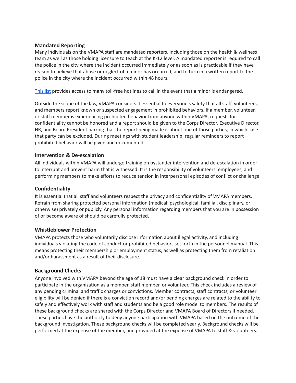# **Mandated Reporting**

Many individuals on the VMAPA staff are mandated reporters, including those on the health & wellness team as well as those holding licensure to teach at the K-12 level. A mandated reporter is required to call the police in the city where the incident occurred immediately or as soon as is practicable if they have reason to believe that abuse or neglect of a minor has occurred, and to turn in a written report to the police in the city where the incident occurred within 48 hours.

[This](https://www.childwelfare.gov/pubs/reslist/tollfree/) list provides access to many toll-free hotlines to call in the event that a minor is endangered.

Outside the scope of the law, VMAPA considers it essential to everyone's safety that all staff, volunteers, and members report known or suspected engagement in prohibited behaviors. If a member, volunteer, or staff member is experiencing prohibited behavior from anyone within VMAPA, requests for confidentiality cannot be honored and a report should be given to the Corps Director, Executive Director, HR, and Board President barring that the report being made is about one of those parties, in which case that party can be excluded. During meetings with student leadership, regular reminders to report prohibited behavior will be given and documented.

# **Intervention & De-escalation**

All individuals within VMAPA will undergo training on bystander intervention and de-escalation in order to interrupt and prevent harm that is witnessed. It is the responsibility of volunteers, employees, and performing members to make efforts to reduce tension in interpersonal episodes of conflict or challenge.

# **Confidentiality**

It is essential that all staff and volunteers respect the privacy and confidentiality of VMAPA members. Refrain from sharing protected personal information (medical, psychological, familial, disciplinary, or otherwise) privately or publicly. Any personal information regarding members that you are in possession of or become aware of should be carefully protected.

#### <span id="page-11-0"></span>**Whistleblower Protection**

VMAPA protects those who voluntarily disclose information about illegal activity, and including individuals violating the code of conduct or prohibited behaviors set forth in the personnel manual. This means protecting their membership or employment status, as well as protecting them from retaliation and/or harassment as a result of their disclosure.

# <span id="page-11-1"></span>**Background Checks**

Anyone involved with VMAPA beyond the age of 18 must have a clear background check in order to participate in the organization as a member, staff member, or volunteer. This check includes a review of any pending criminal and traffic charges or convictions. Member contracts, staff contracts, or volunteer eligibility will be denied if there is a conviction record and/or pending charges are related to the ability to safely and effectively work with staff and students and be a good role model to members. The results of these background checks are shared with the Corps Director and VMAPA Board of Directors if needed. These parties have the authority to deny anyone participation with VMAPA based on the outcome of the background investigation. These background checks will be completed yearly. Background checks will be performed at the expense of the member, and provided at the expense of VMAPA to staff & volunteers.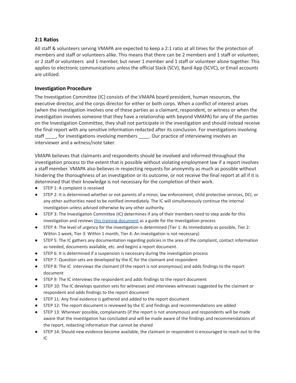# <span id="page-12-0"></span>**2:1 Ratios**

All staff & volunteers serving VMAPA are expected to keep a 2:1 ratio at all times for the protection of members and staff or volunteers alike. This means that there can be 2 members and 1 staff or volunteer, or 2 staff or volunteers and 1 member, but never 1 member and 1 staff or volunteer alone together. This applies to electronic communications unless the official Slack (SCV), Band App (SCVC), or Email accounts are utilized.

# **Investigation Procedure**

The Investigation Committee (IC) consists of the VMAPA board president, human resources, the executive director, and the corps director for either or both corps. When a conflict of interest arises (when the investigation involves one of these parties as a claimant, respondent, or witness or when the investigation involves someone that they have a relationship with beyond VMAPA) for any of the parties on the Investigation Committee, they shall not participate in the investigation and should instead receive the final report with any sensitive information redacted after its conclusion. For investigations involving staff the investigations involving members . Our practice of interviewing involves an interviewer and a witness/note taker.

VMAPA believes that claimants and respondents should be involved and informed throughout the investigation process to the extent that is possible without violating employment law if a report involves a staff member. VMAPA also believes in respecting requests for anonymity as much as possible without hindering the thoroughness of an investigation or its outcome, or not receive the final report at all if it is determined that their knowledge is not necessary for the completion of their work.

- STEP 1: A complaint is received
- STEP 2: It is determined whether or not parents of a minor, law enforcement, child protective services, DCI, or any other authorities need to be notified immediately. The IC will simultaneously continue the internal investigation unless advised otherwise by any other authority.
- STEP 3: The Investigation Committee (IC) determines if any of their members need to step aside for this investigation and reviews this training [document](https://drive.google.com/file/d/1DghO8_xSCNXLu_HqYV8-ERCtxHUu8mjb/view?ts=61e6f3a9) as a guide for the investigation process
- STEP 4: The level of urgency for the investigation is determined (Tier 1: As immediately as possible, Tier 2: Within 1 week, Tier 3: Within 1 month, Tier 4: An investigation is not necessary)
- STEP 5: The IC gathers any documentation regarding policies in the area of the complaint, contact information as needed, documents available, etc. and begins a report document.
- STEP 6: It is determined if a suspension is necessary during the investigation process
- STEP 7: Question sets are developed by the IC for the claimant and respondent
- STEP 8: The IC interviews the claimant (if the report is not anonymous) and adds findings to the report document
- STEP 9: The IC interviews the respondent and adds findings to the report document
- STEP 10: The IC develops question sets for witnesses and interviews witnesses suggested by the claimant or respondent and adds findings to the report document
- STEP 11: Any final evidence is gathered and added to the report document
- STEP 12: The report document is reviewed by the IC and findings and recommendations are added
- STEP 13: Wherever possible, complainants (if the report is not anonymous) and respondents will be made aware that the investigation has concluded and will be made aware of the findings and recommendations of the report, redacting information that cannot be shared
- STEP 14: Should new evidence become available, the claimant or respondent is encouraged to reach out to the IC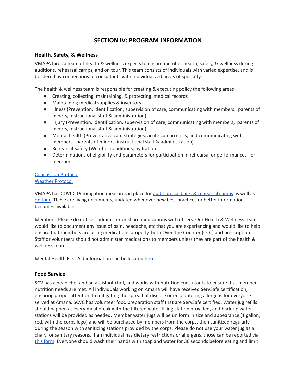# **SECTION IV: PROGRAM INFORMATION**

# <span id="page-13-1"></span><span id="page-13-0"></span>**Health, Safety, & Wellness**

VMAPA hires a team of health & wellness experts to ensure member health, safety, & wellness during auditions, rehearsal camps, and on tour. This team consists of individuals with varied expertise, and is bolstered by connections to consultants with individualized areas of specialty.

The health & wellness team is responsible for creating & executing policy the following areas:

- Creating, collecting, maintaining, & protecting medical records
- Maintaining medical supplies & inventory
- Illness (Prevention, identification, supervision of care, communicating with members, parents of minors, instructional staff & administration)
- Injury (Prevention, identification, supervision of care, communicating with members, parents of minors, instructional staff & administration)
- Mental health (Preventative care strategies, acute care in crisis, and communicating with members, parents of minors, instructional staff & administration)
- Rehearsal Safety (Weather conditions, hydration
- Determinations of eligibility and parameters for participation in rehearsal or performances for members

#### [Concussion](https://docs.google.com/document/d/1jpXQACFIhkJWT52fZ7Qn70k2Fg4XPxH6oM5usz8TTBU/edit?usp=sharing) Protocol [Weather](https://drive.google.com/file/d/14kva1IGH3TPHp6peX2W_Ka8C6IWYgV0X/view?usp=sharing) Protocol

VMAPA has COVID-19 mitigation measures in place for audition, callback, & [rehearsal](https://docs.google.com/document/d/1a-_eoP_jr9ks4OFWS4knhkTrL8pQHECXot1BvcH8xDE/edit?usp=sharing) camps as well as on [tour](https://docs.google.com/document/d/1Qta5RNwA18UvBpWWXDZDdhhY9ciu6epUb_O0ZvYvdjQ/edit?usp=sharing). These are living documents, updated whenever new best practices or better information becomes available.

Members: Please do not self-administer or share medications with others. Our Health & Wellness team would like to document any issue of pain, headache, etc that you are experiencing and would like to help ensure that members are using medications properly, both Over The Counter (OTC) and prescription. Staff or volunteers should not administer medications to members unless they are part of the health & wellness team.

Mental Health First Aid information can be located [here.](https://www.therecoveryvillage.com/mental-health/first-aid/suicidal-thoughts/)

# <span id="page-13-2"></span>**Food Service**

SCV has a head chef and an assistant chef, and works with nutrition consultants to ensure that member nutrition needs are met. All individuals working on Amana will have received ServSafe certification, ensuring proper attention to mitigating the spread of disease or encountering allergens for everyone served at Amana. SCVC has volunteer food preparation staff that are ServSafe certified. Water jug refills should happen at every meal break with the filtered water filling station provided, and back up water stations will be provided as needed. Member water jugs will be uniform in size and appearance (1 gallon, red, with the corps logo) and will be purchased by members from the corps, then sanitized regularly during the season with sanitizing stations provided by the corps. Please do not use your water jug as a chair, for sanitary reasons. If an individual has dietary restrictions or allergens, those can be reported via this [form](https://docs.google.com/forms/d/1SG1FplorffVW9frbIkPQeNlr1fZsIGr3eQZPYLzC-p8/edit?usp=drive_web). Everyone should wash their hands with soap and water for 30 seconds before eating and limit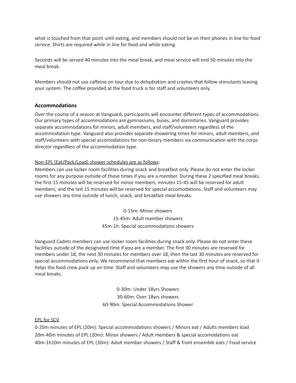what is touched from that point until eating, and members should not be on their phones in line for food service. Shirts are required while in line for food and while eating.

Seconds will be served 40 minutes into the meal break, and meal service will end 50 minutes into the meal break.

Members should not use caffeine on tour due to dehydration and crashes that follow stimulants leaving your system. The coffee provided at the food truck is for staff and volunteers only.

# <span id="page-14-0"></span>**Accommodations**

Over the course of a season at Vanguard, participants will encounter different types of accommodations. Our primary types of accommodations are gymnasiums, buses, and dormitories. Vanguard provides separate accommodations for minors, adult members, and staff/volunteers regardless of the accommodation type. Vanguard also provides separate showering times for minors, adult members, and staff/volunteers with special accomodations for non-binary members via communication with the corps director regardless of the accommodation type.

# Non-EPL (Eat/Pack/Load) shower schedules are as follows:

Members can use locker room facilities during snack and breakfast only. Please do not enter the locker rooms for any purpose outside of these times if you are a member. During these 2 specified meal breaks, the first 15 minutes will be reserved for minor members, minutes 15-45 will be reserved for adult members, and the last 15 minutes will be reserved for special accomodations. Staff and volunteers may use showers any time outside of lunch, snack, and breakfast meal breaks.

> 0-15m: Minor showers 15-45m: Adult member showers 45m-1h: Special accommodations showers

Vanguard Cadets members can use locker room facilities during snack only. Please do not enter these facilities outside of the designated time if you are a member. The first 30 minutes are reserved for members under 18, the next 30 minutes for members over 18, then the last 30 minutes are reserved for special accommodations only. We recommend that members eat within the first hour of snack, so that it helps the food crew pack up on time. Staff and volunteers may use the showers any time outside of all meal breaks.

> 0-30m: Under 18yrs Showers 30-60m: Over 18yrs showers 60-90m: Special Accommodations Shower

#### EPL for SCV

0-20m minutes of EPL (20m): Special accommodations showers / Minors eat / Adults members load 20m-40m minutes of EPL (20m): Minor showers / Adult members & special accomodations eat 40m-1h10m minutes of EPL (30m): Adult member showers / Staff & front ensemble eats / Food service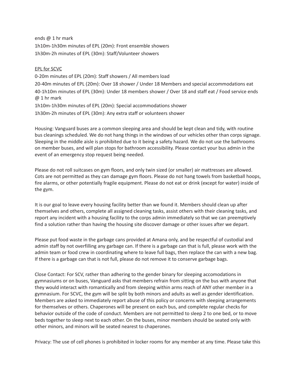ends @ 1 hr mark 1h10m-1h30m minutes of EPL (20m): Front ensemble showers 1h30m-2h minutes of EPL (30m): Staff/Volunteer showers

# EPL for SCVC

0-20m minutes of EPL (20m): Staff showers / All members load 20-40m minutes of EPL (20m): Over 18 shower / Under 18 Members and special accommodations eat 40-1h10m minutes of EPL (30m): Under 18 members shower / Over 18 and staff eat / Food service ends @ 1 hr mark 1h10m-1h30m minutes of EPL (20m): Special accommodations shower 1h30m-2h minutes of EPL (30m): Any extra staff or volunteers shower

Housing: Vanguard buses are a common sleeping area and should be kept clean and tidy, with routine bus cleanings scheduled. We do not hang things in the windows of our vehicles other than corps signage. Sleeping in the middle aisle is prohibited due to it being a safety hazard. We do not use the bathrooms on member buses, and will plan stops for bathroom accessibility. Please contact your bus admin in the event of an emergency stop request being needed.

Please do not roll suitcases on gym floors, and only twin sized (or smaller) air mattresses are allowed. Cots are not permitted as they can damage gym floors. Please do not hang towels from basketball hoops, fire alarms, or other potentially fragile equipment. Please do not eat or drink (except for water) inside of the gym.

It is our goal to leave every housing facility better than we found it. Members should clean up after themselves and others, complete all assigned cleaning tasks, assist others with their cleaning tasks, and report any incident with a housing facility to the corps admin immediately so that we can preemptively find a solution rather than having the housing site discover damage or other issues after we depart.

Please put food waste in the garbage cans provided at Amana only, and be respectful of custodial and admin staff by not overfilling any garbage can. If there is a garbage can that is full, please work with the admin team or food crew in coordinating where to leave full bags, then replace the can with a new bag. If there is a garbage can that is not full, please do not remove it to conserve garbage bags.

Close Contact: For SCV, rather than adhering to the gender binary for sleeping accomodations in gymnasiums or on buses, Vanguard asks that members refrain from sitting on the bus with anyone that they would interact with romantically and from sleeping within arms reach of ANY other member in a gymnasium. For SCVC, the gym will be split by both minors and adults as well as gender identification. Members are asked to immediately report abuse of this policy or concerns with sleeping arrangements for themselves or others. Chaperones will be present on each bus, and complete regular checks for behavior outside of the code of conduct. Members are not permitted to sleep 2 to one bed, or to move beds together to sleep next to each other. On the buses, minor members should be seated only with other minors, and minors will be seated nearest to chaperones.

Privacy: The use of cell phones is prohibited in locker rooms for any member at any time. Please take this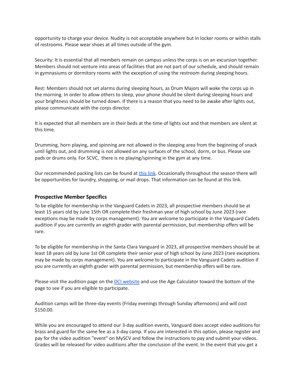opportunity to charge your device. Nudity is not acceptable anywhere but in locker rooms or within stalls of restrooms. Please wear shoes at all times outside of the gym.

Security: It is essential that all members remain on campus unless the corps is on an excursion together. Members should not venture into areas of facilities that are not part of our schedule, and should remain in gymnasiums or dormitory rooms with the exception of using the restroom during sleeping hours.

Rest: Members should not set alarms during sleeping hours, as Drum Majors will wake the corps up in the morning. In order to allow others to sleep, your phone should be silent during sleeping hours and your brightness should be turned down. If there is a reason that you need to be awake after lights out, please communicate with the corps director.

It is expected that all members are in their beds at the time of lights out and that members are silent at this time.

Drumming, horn playing, and spinning are not allowed in the sleeping area from the beginning of snack until lights out, and drumming is not allowed on any surfaces of the school, dorm, or bus. Please use pads or drums only. For SCVC, there is no playing/spinning in the gym at any time.

Our recommended packing lists can be found at [this](https://docs.google.com/document/d/19tL99_PFl6JCu5K2I4KfCk8F9LNlm6Hu7xqRO1Sy-oE/edit?usp=sharing) link. Occasionally throughout the season there will be opportunities for laundry, shopping, or mail drops. That information can be found at this link.

#### <span id="page-16-0"></span>**Prospective Member Specifics**

To be eligible for membership in the Vanguard Cadets in 2023, all prospective members should be at least 15 years old by June 15th OR complete their freshman year of high school by June 2023 (rare exceptions may be made by corps management). You are welcome to participate in the Vanguard Cadets audition if you are currently an eighth grader with parental permission, but membership offers will be rare.

To be eligible for membership in the Santa Clara Vanguard in 2023, all prospective members should be at least 18 years old by June 1st OR complete their senior year of high school by June 2023 (rare exceptions may be made by corps management). You are welcome to participate in the Vanguard Cadets audition if you are currently an eighth grader with parental permission, but membership offers will be rare.

Please visit the audition page on the DCI [website](https://www.dci.org/auditions) and use the Age Calculator toward the bottom of the page to see if you are eligible to participate.

Audition camps will be three-day events (Friday evenings through Sunday afternoons) and will cost \$150.00.

While you are encouraged to attend our 3-day audition events, Vanguard does accept video auditions for brass and guard for the same fee as a 3-day camp. If you are interested in this option, please register and pay for the video audition "event" on MySCV and follow the instructions to pay and submit your videos. Grades will be released for video auditions after the conclusion of the event. In the event that you get a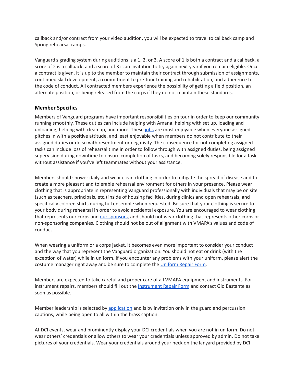callback and/or contract from your video audition, you will be expected to travel to callback camp and Spring rehearsal camps.

Vanguard's grading system during auditions is a 1, 2, or 3. A score of 1 is both a contract and a callback, a score of 2 is a callback, and a score of 3 is an invitation to try again next year if you remain eligible. Once a contract is given, it is up to the member to maintain their contract through submission of assignments, continued skill development, a commitment to pre-tour training and rehabilitation, and adherence to the code of conduct. All contracted members experience the possibility of getting a field position, an alternate position, or being released from the corps if they do not maintain these standards.

# <span id="page-17-0"></span>**Member Specifics**

Members of Vanguard programs have important responsibilities on tour in order to keep our community running smoothly. These duties can include helping with Amana, helping with set up, loading and unloading, helping with clean up, and more. These [jobs](https://docs.google.com/document/d/1iKjuIiIIVK7Zdo7s68xbSOOkiG-MKrDqGKeWvJoNY1Q/edit?usp=sharing) are most enjoyable when everyone assigned pitches in with a positive attitude, and least enjoyable when members do not contribute to their assigned duties or do so with resentment or negativity. The consequence for not completing assigned tasks can include loss of rehearsal time in order to follow through with assigned duties, being assigned supervision during downtime to ensure completion of tasks, and becoming solely responsible for a task without assistance if you've left teammates without your assistance.

Members should shower daily and wear clean clothing in order to mitigate the spread of disease and to create a more pleasant and tolerable rehearsal environment for others in your presence. Please wear clothing that is appropriate in representing Vanguard professionally with individuals that may be on site (such as teachers, principals, etc.) inside of housing facilities, during clinics and open rehearsals, and specifically colored shirts during full ensemble when requested. Be sure that your clothing is secure to your body during rehearsal in order to avoid accidental exposure. You are encouraged to wear clothing that represents our corps and our [sponsors](https://www.scvanguard.org/corporate-partners/), and should not wear clothing that represents other corps or non-sponsoring companies. Clothing should not be out of alignment with VMAPA's values and code of conduct.

When wearing a uniform or a corps jacket, it becomes even more important to consider your conduct and the way that you represent the Vanguard organization. You should not eat or drink (with the exception of water) while in uniform. If you encounter any problems with your uniform, please alert the costume manager right away and be sure to complete the [Uniform](https://docs.google.com/forms/d/e/1FAIpQLSdMO-bbEDvLFs0ufXrHvepyJUqnhFFMm5i2RDgAGGx9HF7bLg/viewform) Repair Form.

Members are expected to take careful and proper care of all VMAPA equipment and instruments. For instrument repairs, members should fill out the [Instrument](https://docs.google.com/forms/d/e/1FAIpQLSfSH_T9biERRJZj9dEPVR4psXNzfXn-nnmJ1FjxBeSshUDS4A/closedform) Repair Form and contact Gio Bastante as soon as possible.

Member leadership is selected by [application](https://docs.google.com/document/d/1UHGnEASq54F1nxLUDzxE7-xXEgGumWDGBMTwhkqo_EM/edit?usp=sharing) and is by invitation only in the guard and percussion captions, while being open to all within the brass caption.

At DCI events, wear and prominently display your DCI credentials when you are not in uniform. Do not wear others' credentials or allow others to wear your credentials unless approved by admin. Do not take pictures of your credentials. Wear your credentials around your neck on the lanyard provided by DCI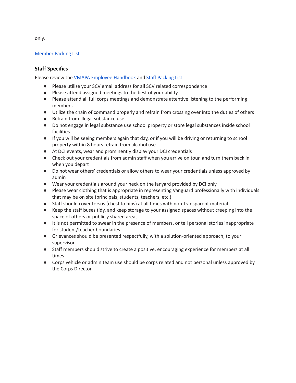[Member](https://docs.google.com/document/d/19tL99_PFl6JCu5K2I4KfCk8F9LNlm6Hu7xqRO1Sy-oE/edit?usp=sharing) Packing List

# <span id="page-18-0"></span>**Staff Specifics**

Please review the VMAPA Employee [Handbook](https://drive.google.com/file/d/18_WxmSp-PEturap9p0FifNJkfs5sy4E0/view?usp=sharing) and Staff [Packing](https://docs.google.com/document/d/1spC5-5oaE5XMS6R6UfOSUItGW1RVBQujGqb57azDnGc/edit?usp=sharing) List

- Please utilize your SCV email address for all SCV related correspondence
- Please attend assigned meetings to the best of your ability
- Please attend all full corps meetings and demonstrate attentive listening to the performing members
- Utilize the chain of command properly and refrain from crossing over into the duties of others
- Refrain from illegal substance use
- Do not engage in legal substance use school property or store legal substances inside school facilities
- If you will be seeing members again that day, or if you will be driving or returning to school property within 8 hours refrain from alcohol use
- At DCI events, wear and prominently display your DCI credentials
- Check out your credentials from admin staff when you arrive on tour, and turn them back in when you depart
- Do not wear others' credentials or allow others to wear your credentials unless approved by admin
- Wear your credentials around your neck on the lanyard provided by DCI only
- Please wear clothing that is appropriate in representing Vanguard professionally with individuals that may be on site (principals, students, teachers, etc.)
- Staff should cover torsos (chest to hips) at all times with non-transparent material
- Keep the staff buses tidy, and keep storage to your assigned spaces without creeping into the space of others or publicly shared areas
- It is not permitted to swear in the presence of members, or tell personal stories inappropriate for student/teacher boundaries
- Grievances should be presented respectfully, with a solution-oriented approach, to your supervisor
- Staff members should strive to create a positive, encouraging experience for members at all times
- Corps vehicle or admin team use should be corps related and not personal unless approved by the Corps Director

only.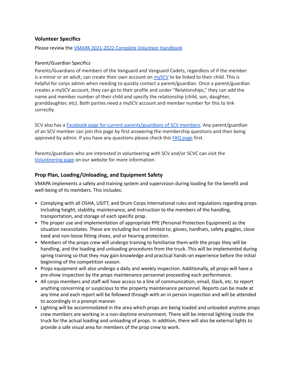# **Volunteer Specifics**

Please review the VMAPA [2021-2022](https://drive.google.com/open?id=1BKHbvesu-g9MpFZX_ZQe9e1F0epc1XiK) Complete Volunteer Handbook

#### Parent/Guardian Specifics

Parents/Guardians of members of the Vanguard and Vanguard Cadets, regardless of if the member is a minor or an adult, can create their own account on  $m\gamma$ SCV to be linked to their child. This is helpful for corps admin when needing to quickly contact a parent/guardian. Once a parent/guardian creates a mySCV account, they can go to their profile and under "Relationships," they can add the name and member number of their child and specify the relationship (child, son, daughter, granddaughter, etc). Both parties need a mySCV account and member number for this to link correctly.

SCV also has a Facebook page for current [parents/guardians](https://www.facebook.com/groups/SCVParents) of SCV members. Any parent/guardian of an SCV member can join this page by first answering the membership questions and then being approved by admin. If you have any questions please check this FAQ [page](https://docs.google.com/document/d/1TSa_K1HgYS98kV62k-xWp1Z2Nyklnmp7MvOoI0KqYuw/edit?usp=sharing) first.

Parents/guardians who are interested in volunteering with SCV and/or SCVC can visit the [Volunteering](https://www.scvanguard.org/volunteer-opportunities/) page on our website for more information.

# <span id="page-19-0"></span>**Prop Plan, Loading/Unloading, and Equipment Safety**

VMAPA implements a safety and training system and supervision during loading for the benefit and well-being of its members. This includes:

- Complying with all OSHA, USITT, and Drum Corps International rules and regulations regarding props. Including height, stability, maintenance, and instruction to the members of the handling, transportation, and storage of each specific prop.
- The proper use and implementation of appropriate PPE (Personal Protection Equipment) as the situation necessitates. These are including but not limited to; gloves, hardhats, safety goggles, close toed and non-loose fitting shoes, and or hearing protection.
- Members of the props crew will undergo training to familiarize them with the props they will be handling, and the loading and unloading procedures from the truck. This will be implemented during spring training so that they may gain knowledge and practical hands-on experience before the initial beginning of the competition season.
- Props equipment will also undergo a daily and weekly inspection. Additionally, all props will have a pre-show inspection by the props maintenance personnel proceeding each performance.
- All corps members and staff will have access to a line of communication, email, Slack, etc. to report anything concerning or suspicious to the property maintenance personnel. Reports can be made at any time and each report will be followed through with an in person inspection and will be attended to accordingly in a prompt manner.
- Lighting will be accommodated in the area which props are being loaded and unloaded anytime props crew members are working in a non-daytime environment. There will be internal lighting inside the truck for the actual loading and unloading of props. In addition, there will also be external lights to provide a safe visual area for members of the prop crew to work.